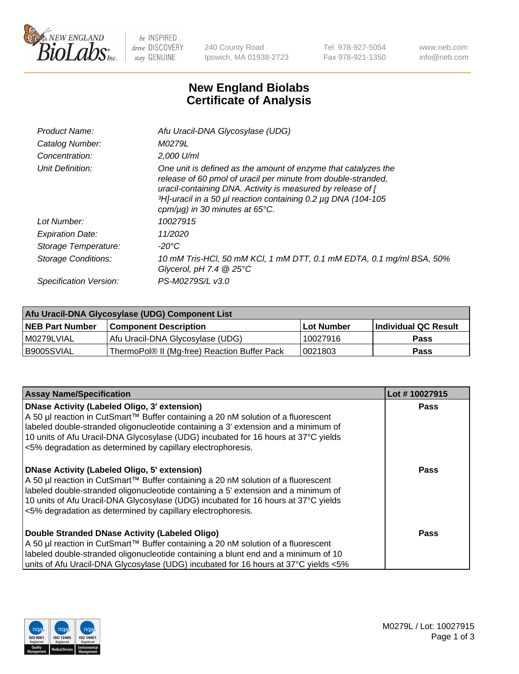

 $be$  INSPIRED drive DISCOVERY stay GENUINE

240 County Road Ipswich, MA 01938-2723 Tel 978-927-5054 Fax 978-921-1350 www.neb.com info@neb.com

## **New England Biolabs Certificate of Analysis**

| Afu Uracil-DNA Glycosylase (UDG)                                                                                                                                                                                                                                                                                     |
|----------------------------------------------------------------------------------------------------------------------------------------------------------------------------------------------------------------------------------------------------------------------------------------------------------------------|
| M0279L                                                                                                                                                                                                                                                                                                               |
| 2,000 U/ml                                                                                                                                                                                                                                                                                                           |
| One unit is defined as the amount of enzyme that catalyzes the<br>release of 60 pmol of uracil per minute from double-stranded,<br>uracil-containing DNA. Activity is measured by release of [<br>3H <sub>1</sub> -uracil in a 50 µl reaction containing 0.2 µg DNA (104-105<br>cpm/ $\mu$ g) in 30 minutes at 65°C. |
| 10027915                                                                                                                                                                                                                                                                                                             |
| 11/2020                                                                                                                                                                                                                                                                                                              |
| $-20^{\circ}$ C                                                                                                                                                                                                                                                                                                      |
| 10 mM Tris-HCl, 50 mM KCl, 1 mM DTT, 0.1 mM EDTA, 0.1 mg/ml BSA, 50%<br>Glycerol, pH 7.4 $@25^{\circ}C$                                                                                                                                                                                                              |
| PS-M0279S/L v3.0                                                                                                                                                                                                                                                                                                     |
|                                                                                                                                                                                                                                                                                                                      |

| Afu Uracil-DNA Glycosylase (UDG) Component List |                                              |                   |                      |  |
|-------------------------------------------------|----------------------------------------------|-------------------|----------------------|--|
| <b>NEB Part Number</b>                          | <b>Component Description</b>                 | <b>Lot Number</b> | Individual QC Result |  |
| I M0279LVIAL                                    | Afu Uracil-DNA Glycosylase (UDG)             | 10027916          | <b>Pass</b>          |  |
| I B9005SVIAL                                    | ThermoPol® II (Mg-free) Reaction Buffer Pack | 10021803          | Pass                 |  |

| <b>Assay Name/Specification</b>                                                                                                                                                                                                                                                                                                                                                     | Lot #10027915 |
|-------------------------------------------------------------------------------------------------------------------------------------------------------------------------------------------------------------------------------------------------------------------------------------------------------------------------------------------------------------------------------------|---------------|
| <b>DNase Activity (Labeled Oligo, 3' extension)</b><br>A 50 µl reaction in CutSmart™ Buffer containing a 20 nM solution of a fluorescent<br>labeled double-stranded oligonucleotide containing a 3' extension and a minimum of<br>10 units of Afu Uracil-DNA Glycosylase (UDG) incubated for 16 hours at 37°C yields<br><5% degradation as determined by capillary electrophoresis. | <b>Pass</b>   |
| <b>DNase Activity (Labeled Oligo, 5' extension)</b><br>A 50 µl reaction in CutSmart™ Buffer containing a 20 nM solution of a fluorescent<br>labeled double-stranded oligonucleotide containing a 5' extension and a minimum of<br>10 units of Afu Uracil-DNA Glycosylase (UDG) incubated for 16 hours at 37°C yields<br><5% degradation as determined by capillary electrophoresis. | Pass          |
| Double Stranded DNase Activity (Labeled Oligo)<br>A 50 µl reaction in CutSmart™ Buffer containing a 20 nM solution of a fluorescent<br>labeled double-stranded oligonucleotide containing a blunt end and a minimum of 10<br>units of Afu Uracil-DNA Glycosylase (UDG) incubated for 16 hours at 37°C yields <5%                                                                    | Pass          |

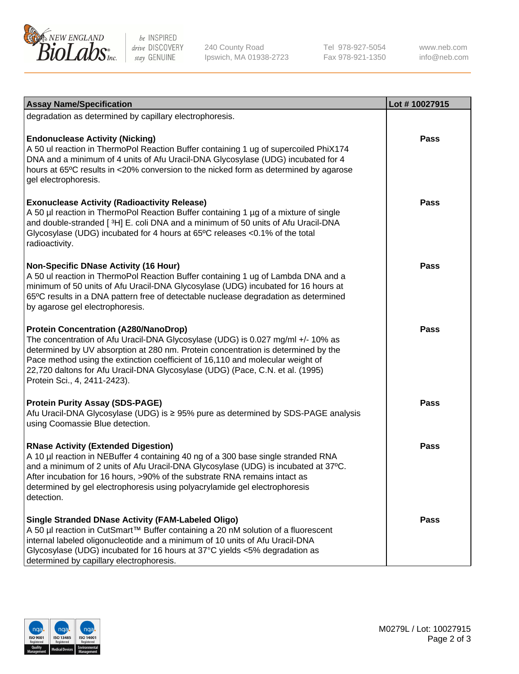

be INSPIRED drive DISCOVERY stay GENUINE

240 County Road Ipswich, MA 01938-2723 Tel 978-927-5054 Fax 978-921-1350 www.neb.com info@neb.com

| <b>Assay Name/Specification</b>                                                                                                                                                                                                                                                                                                                                                                                         | Lot #10027915 |
|-------------------------------------------------------------------------------------------------------------------------------------------------------------------------------------------------------------------------------------------------------------------------------------------------------------------------------------------------------------------------------------------------------------------------|---------------|
| degradation as determined by capillary electrophoresis.                                                                                                                                                                                                                                                                                                                                                                 |               |
| <b>Endonuclease Activity (Nicking)</b><br>A 50 ul reaction in ThermoPol Reaction Buffer containing 1 ug of supercoiled PhiX174<br>DNA and a minimum of 4 units of Afu Uracil-DNA Glycosylase (UDG) incubated for 4<br>hours at 65°C results in <20% conversion to the nicked form as determined by agarose<br>gel electrophoresis.                                                                                      | Pass          |
| <b>Exonuclease Activity (Radioactivity Release)</b><br>A 50 µl reaction in ThermoPol Reaction Buffer containing 1 µg of a mixture of single<br>and double-stranded [3H] E. coli DNA and a minimum of 50 units of Afu Uracil-DNA<br>Glycosylase (UDG) incubated for 4 hours at 65°C releases <0.1% of the total<br>radioactivity.                                                                                        | Pass          |
| <b>Non-Specific DNase Activity (16 Hour)</b><br>A 50 ul reaction in ThermoPol Reaction Buffer containing 1 ug of Lambda DNA and a<br>minimum of 50 units of Afu Uracil-DNA Glycosylase (UDG) incubated for 16 hours at<br>65°C results in a DNA pattern free of detectable nuclease degradation as determined<br>by agarose gel electrophoresis.                                                                        | Pass          |
| <b>Protein Concentration (A280/NanoDrop)</b><br>The concentration of Afu Uracil-DNA Glycosylase (UDG) is 0.027 mg/ml +/- 10% as<br>determined by UV absorption at 280 nm. Protein concentration is determined by the<br>Pace method using the extinction coefficient of 16,110 and molecular weight of<br>22,720 daltons for Afu Uracil-DNA Glycosylase (UDG) (Pace, C.N. et al. (1995)<br>Protein Sci., 4, 2411-2423). | Pass          |
| <b>Protein Purity Assay (SDS-PAGE)</b><br>Afu Uracil-DNA Glycosylase (UDG) is ≥ 95% pure as determined by SDS-PAGE analysis<br>using Coomassie Blue detection.                                                                                                                                                                                                                                                          | <b>Pass</b>   |
| <b>RNase Activity (Extended Digestion)</b><br>A 10 µl reaction in NEBuffer 4 containing 40 ng of a 300 base single stranded RNA<br>and a minimum of 2 units of Afu Uracil-DNA Glycosylase (UDG) is incubated at 37°C.<br>After incubation for 16 hours, >90% of the substrate RNA remains intact as<br>determined by gel electrophoresis using polyacrylamide gel electrophoresis<br>detection.                         | Pass          |
| <b>Single Stranded DNase Activity (FAM-Labeled Oligo)</b><br>A 50 µl reaction in CutSmart™ Buffer containing a 20 nM solution of a fluorescent<br>internal labeled oligonucleotide and a minimum of 10 units of Afu Uracil-DNA<br>Glycosylase (UDG) incubated for 16 hours at 37°C yields <5% degradation as<br>determined by capillary electrophoresis.                                                                | Pass          |